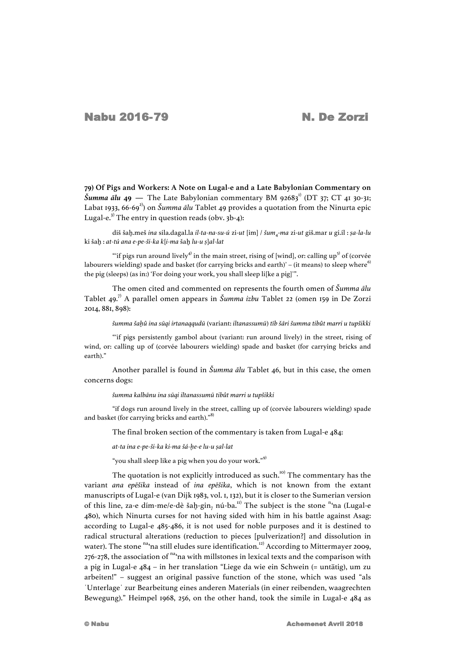**79) Of Pigs and Workers: A Note on Lugal-e and a Late Babylonian Commentary on**   $\check{S}$ *umma*  $\tilde{a}$ *lu*  $49$  — The Late Babylonian commentary BM 92683<sup>1</sup> (DT 37; CT 41 30-31; Labat 1933, 66-69<sup>2</sup>) on *Šumma ālu* Tablet 49 provides a quotation from the Ninurta epic Lugal-e.<sup>3)</sup> The entry in question reads (obv.  $3b-4$ ):

diš šaḫ.meš *ina* sila.dagal.la *il-ta-na-su-ú* zi-*ut* [im] / *šum*4-*ma* zi-*ut* giš.mar *u* gi.íl : *ṣa-la-lu* ki šaḫ : *at-tú ana e-pe-ši-ka k*[*i-ma* šaḫ *lu-u ṣ*]*al-lat*

"if pigs run around lively<sup>4)</sup> in the main street, rising of [wind], or: calling up<sup>5)</sup> of (corvée labourers wielding) spade and basket (for carrying bricks and earth)' – (it means) to sleep where<sup>6)</sup> the pig (sleeps) (as in:) 'For doing your work, you shall sleep lifke a pigl'".

The omen cited and commented on represents the fourth omen of *Šumma ālu* Tablet 49.7) A parallel omen appears in *Šumma izbu* Tablet 22 (omen 159 in De Zorzi 2014, 881, 898):

šumma šahû ina sūgi irtanaggudū (variant: iltanassumū) tīb šāri šumma tibût marri u tupšikki

"ʻif pigs persistently gambol about (variant: run around lively) in the street, rising of wind, or: calling up of (corvée labourers wielding) spade and basket (for carrying bricks and earth)."

Another parallel is found in *Šumma ālu* Tablet 46, but in this case, the omen concerns dogs:

*šumma kalbānu ina sūqi iltanassumū tibût marri u tupšikki*

"if dogs run around lively in the street, calling up of (corvée labourers wielding) spade and basket (for carrying bricks and earth)."

The final broken section of the commentary is taken from Lugal-e 484:

*at-ta ina e-pe-ši-ka ki-ma šá-ḫe-e lu-u ṣal-lat*

"you shall sleep like a pig when you do your work."<sup>9)</sup>

The quotation is not explicitly introduced as such. $10$ <sup>to)</sup> The commentary has the variant *ana epēšika* instead of *ina epēšika*, which is not known from the extant manuscripts of Lugal-e (van Dijk 1983, vol. 1, 132), but it is closer to the Sumerian version of this line, za-e dím-me/e-dè šaḫ-gin<sub>7</sub> nú-ba.<sup>11)</sup> The subject is the stone <sup>n</sup>4na (Lugal-e 480), which Ninurta curses for not having sided with him in his battle against Asag: according to Lugal-e 485-486, it is not used for noble purposes and it is destined to radical structural alterations (reduction to pieces [pulverization?] and dissolution in water). The stone <sup>na</sup><sub>i</sub>na still eludes sure identification.<sup>12)</sup> According to Mittermayer 2009, 276-278, the association of  $n_{4}$ na with millstones in lexical texts and the comparison with a pig in Lugal-e 484 – in her translation "Liege da wie ein Schwein (= untätig), um zu arbeiten!" – suggest an original passive function of the stone, which was used "als ˈUnterlageˈ zur Bearbeitung eines anderen Materials (in einer reibenden, waagrechten Bewegung)." Heimpel 1968, 256, on the other hand, took the simile in Lugal-e 484 as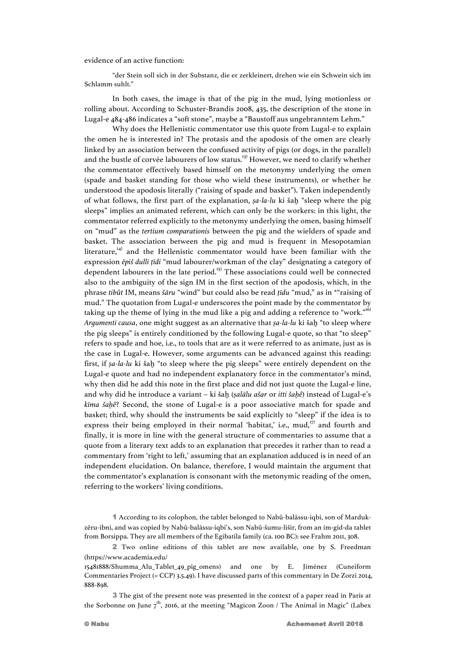evidence of an active function:

"der Stein soll sich in der Substanz, die er zerkleinert, drehen wie ein Schwein sich im Schlamm suhlt."

In both cases, the image is that of the pig in the mud, lying motionless or rolling about. According to Schuster-Brandis 2008, 435, the description of the stone in Lugal-e 484-486 indicates a "soft stone", maybe a "Baustoff aus ungebranntem Lehm."

Why does the Hellenistic commentator use this quote from Lugal-e to explain the omen he is interested in? The protasis and the apodosis of the omen are clearly linked by an association between the confused activity of pigs (or dogs, in the parallel) and the bustle of corvée labourers of low status.<sup>13)</sup> However, we need to clarify whether the commentator effectively based himself on the metonymy underlying the omen (spade and basket standing for those who wield these instruments), or whether he understood the apodosis literally ("raising of spade and basket"). Taken independently of what follows, the first part of the explanation, *ṣa-la-lu* ki šaḫ "sleep where the pig sleeps" implies an animated referent, which can only be the workers: in this light, the commentator referred explicitly to the metonymy underlying the omen, basing himself on "mud" as the *tertium comparationis* between the pig and the wielders of spade and basket. The association between the pig and mud is frequent in Mesopotamian literature,<sup>14)</sup> and the Hellenistic commentator would have been familiar with the expression *ēpiš dulli ṭīdi* "mud labourer/workman of the clay" designating a category of dependent labourers in the late period.<sup>15)</sup> These associations could well be connected also to the ambiguity of the sign IM in the first section of the apodosis, which, in the phrase *tibût* IM, means *šāru* "wind" but could also be read *ṭīdu* "mud," as in \*"raising of mud." The quotation from Lugal-e underscores the point made by the commentator by taking up the theme of lying in the mud like a pig and adding a reference to "work."<sup>16)</sup> *Argumenti causa*, one might suggest as an alternative that *ṣa-la-lu* ki šaḫ "to sleep where the pig sleeps" is entirely conditioned by the following Lugal-e quote, so that "to sleep" refers to spade and hoe, i.e., to tools that are as it were referred to as animate, just as is the case in Lugal-e. However, some arguments can be advanced against this reading: first, if *ṣa-la-lu* ki šaḫ "to sleep where the pig sleeps" were entirely dependent on the Lugal-e quote and had no independent explanatory force in the commentator's mind, why then did he add this note in the first place and did not just quote the Lugal-e line, and why did he introduce a variant – ki šaḫ (*ṣalālu ašar* or *itti šaḫê*) instead of Lugal-e's *kīma šaḫê*? Second, the stone of Lugal-e is a poor associative match for spade and basket; third, why should the instruments be said explicitly to "sleep" if the idea is to express their being employed in their normal 'habitat,' i.e., mud, $17$ ' and fourth and finally, it is more in line with the general structure of commentaries to assume that a quote from a literary text adds to an explanation that precedes it rather than to read a commentary from 'right to left,' assuming that an explanation adduced is in need of an independent elucidation. On balance, therefore, I would maintain the argument that the commentator's explanation is consonant with the metonymic reading of the omen, referring to the workers' living conditions.

1 According to its colophon, the tablet belonged to Nabû-balāssu-iqbi, son of Mardukzēru-ibni, and was copied by Nabû-balāssu-iqbi's, son Nabû-šumu-lišir, from an im-gíd-da tablet from Borsippa. They are all members of the Egibatila family (ca. 100 BC): see Frahm 2011, 308.

2 Two online editions of this tablet are now available, one by S. Freedman (https://www.academia.edu/

15481888/Shumma\_Alu\_Tablet\_49\_pig\_omens) and one by E. Jiménez (Cuneiform Commentaries Project (= CCP) 3.5.49). I have discussed parts of this commentary in De Zorzi 2014, 888-898.

3 The gist of the present note was presented in the context of a paper read in Paris at the Sorbonne on June  $7<sup>th</sup>$ , 2016, at the meeting "Magicon Zoon / The Animal in Magic" (Labex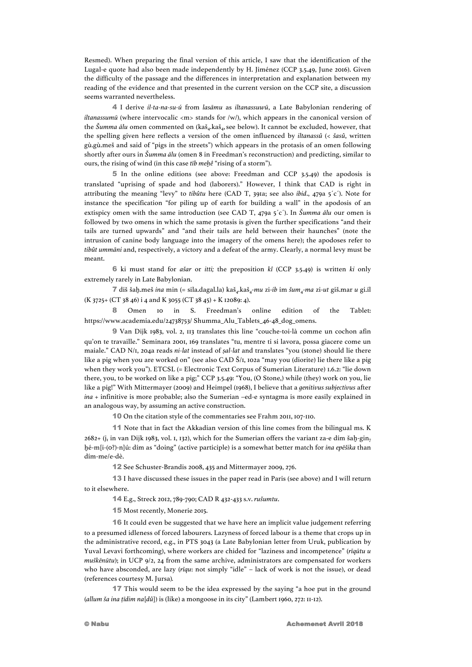Resmed). When preparing the final version of this article, I saw that the identification of the Lugal-e quote had also been made independently by H. Jiménez (CCP 3.5.49, June 2016). Given the difficulty of the passage and the differences in interpretation and explanation between my reading of the evidence and that presented in the current version on the CCP site, a discussion seems warranted nevertheless.

4 I derive *il-ta-na-su-ú* from *lasāmu* as *iltanassuwū*, a Late Babylonian rendering of *iltanassumū* (where intervocalic <m> stands for /w/), which appears in the canonical version of the *Šumma ālu* omen commented on (kaš<sub>a</sub>, kaš<sub>a</sub>, see below). It cannot be excluded, however, that the spelling given here reflects a version of the omen influenced by *iltanassû* (< *šasû*, written gù.gù.meš and said of "pigs in the streets") which appears in the protasis of an omen following shortly after ours in *Šumma ālu* (omen 8 in Freedman's reconstruction) and predicting, similar to ours, the rising of wind (in this case *tīb meḫê* "rising of a storm").

5 In the online editions (see above: Freedman and CCP 3.5.49) the apodosis is translated "uprising of spade and hod (laborers)." However, I think that CAD is right in attributing the meaning "levy" to *tibûtu* here (CAD T, 391a; see also *ibid*., 479a 5ˊcˊ). Note for instance the specification "for piling up of earth for building a wall" in the apodosis of an extispicy omen with the same introduction (see CAD T, 479a 5ˊcˊ). In *Šumma ālu* our omen is followed by two omens in which the same protasis is given the further specifications "and their tails are turned upwards" and "and their tails are held between their haunches" (note the intrusion of canine body language into the imagery of the omens here); the apodoses refer to *tibût ummāni* and, respectively, a victory and a defeat of the army. Clearly, a normal levy must be meant.

6 ki must stand for *ašar* or *itti;* the preposition *kî* (CCP 3.5.49) is written *ki* only extremely rarely in Late Babylonian.

7 diš šaḫ.meš *ina* min (= sila.dagal.la) kaš<sub>4</sub>.kaš<sub>4</sub>-mu zi-ib im šum<sub>4</sub>-ma zi-ut giš.mar u gi.íl  $(K 3725+ (CT 38 46) i 4 and K 3055 (CT 38 45) + K 12089: 4).$ 

8 Omen 10 in S. Freedman's online edition of the Tablet: https://www.academia.edu/24738753/ Shumma\_Alu\_Tablets\_46-48\_dog\_omens.

9 Van Dijk 1983, vol. 2, 113 translates this line "couche-toi-là comme un cochon afin qu'on te travaille." Seminara 2001, 169 translates "tu, mentre ti si lavora, possa giacere come un maiale." CAD N/1, 204a reads *ni-lat* instead of *ṣal-lat* and translates "you (stone) should lie there like a pig when you are worked on" (see also CAD Š/1, 102a "may you (diorite) lie there like a pig when they work you"). ETCSL (= Electronic Text Corpus of Sumerian Literature) 1.6.2: "lie down there, you, to be worked on like a pig;" CCP 3.5.49: "You, (O Stone,) while (they) work on you, lie like a pig!" With Mittermayer (2009) and Heimpel (1968), I believe that a *genitivus subjectivus* after *ina* + infinitive is more probable; also the Sumerian –ed-e syntagma is more easily explained in an analogous way, by assuming an active construction.

10 On the citation style of the commentaries see Frahm 2011, 107-110.

11 Note that in fact the Akkadian version of this line comes from the bilingual ms. K  $2682+$  (j<sub>1</sub> in van Dijk 1983, vol. 1, 132), which for the Sumerian offers the variant za-e dím šah-ginḫé-m[i-(0?)-n]ú: dím as "doing" (active participle) is a somewhat better match for *ina epēšika* than dím-me/e-dè.

12 See Schuster-Brandis 2008, 435 and Mittermayer 2009, 276.

13 I have discussed these issues in the paper read in Paris (see above) and I will return to it elsewhere.

14 E.g., Streck 2012, 789-790; CAD R 432-433 s.v. *rušumtu*.

15 Most recently, Monerie 2015.

16 It could even be suggested that we have here an implicit value judgement referring to a presumed idleness of forced labourers. Lazyness of forced labour is a theme that crops up in the administrative record, e.g., in PTS 3043 (a Late Babylonian letter from Uruk, publication by Yuval Levavi forthcoming), where workers are chided for "laziness and incompetence" (*rīqūtu u muškēnūtu*); in UCP 9/2, 24 from the same archive, administrators are compensated for workers who have absconded, are lazy (*rīqu*: not simply "idle" – lack of work is not the issue), or dead (references courtesy M. Jursa)*.*

17 This would seem to be the idea expressed by the saying "a hoe put in the ground (*allum ša ina ṭīdim na*[*dû*]) is (like) a mongoose in its city" (Lambert 1960, 272: 11-12).